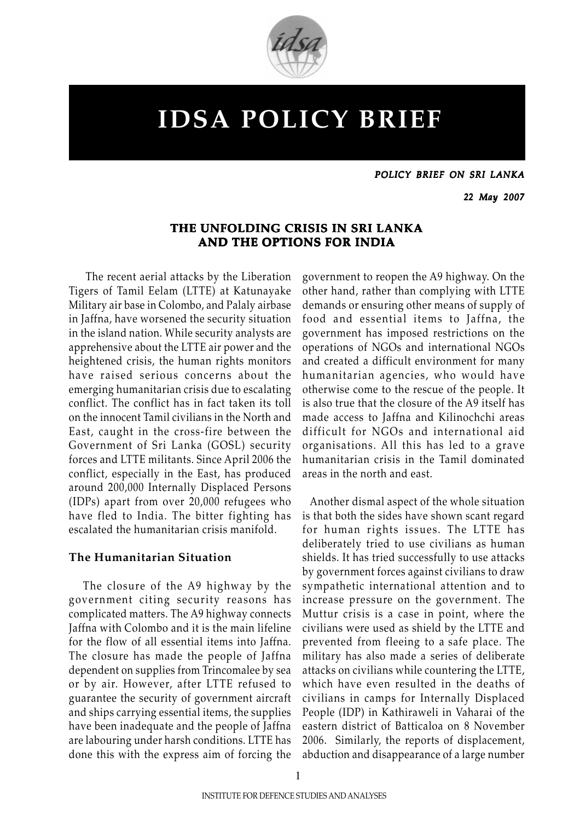

# IDSA POLICY BRIEF

POLICY BRIEF ON SRI LANKA

22 May 2007

# THE UNFOLDING CRISIS IN SRI LANKA AND THE OPTIONS FOR INDIA

 The recent aerial attacks by the Liberation Tigers of Tamil Eelam (LTTE) at Katunayake Military air base in Colombo, and Palaly airbase in Jaffna, have worsened the security situation in the island nation. While security analysts are apprehensive about the LTTE air power and the heightened crisis, the human rights monitors have raised serious concerns about the emerging humanitarian crisis due to escalating conflict. The conflict has in fact taken its toll on the innocent Tamil civilians in the North and East, caught in the cross-fire between the Government of Sri Lanka (GOSL) security forces and LTTE militants. Since April 2006 the conflict, especially in the East, has produced around 200,000 Internally Displaced Persons (IDPs) apart from over 20,000 refugees who have fled to India. The bitter fighting has escalated the humanitarian crisis manifold.

#### The Humanitarian Situation

 The closure of the A9 highway by the government citing security reasons has complicated matters. The A9 highway connects Jaffna with Colombo and it is the main lifeline for the flow of all essential items into Jaffna. The closure has made the people of Jaffna dependent on supplies from Trincomalee by sea or by air. However, after LTTE refused to guarantee the security of government aircraft and ships carrying essential items, the supplies have been inadequate and the people of Jaffna are labouring under harsh conditions. LTTE has done this with the express aim of forcing the government to reopen the A9 highway. On the other hand, rather than complying with LTTE demands or ensuring other means of supply of food and essential items to Jaffna, the government has imposed restrictions on the operations of NGOs and international NGOs and created a difficult environment for many humanitarian agencies, who would have otherwise come to the rescue of the people. It is also true that the closure of the A9 itself has made access to Jaffna and Kilinochchi areas difficult for NGOs and international aid organisations. All this has led to a grave humanitarian crisis in the Tamil dominated areas in the north and east.

 Another dismal aspect of the whole situation is that both the sides have shown scant regard for human rights issues. The LTTE has deliberately tried to use civilians as human shields. It has tried successfully to use attacks by government forces against civilians to draw sympathetic international attention and to increase pressure on the government. The Muttur crisis is a case in point, where the civilians were used as shield by the LTTE and prevented from fleeing to a safe place. The military has also made a series of deliberate attacks on civilians while countering the LTTE, which have even resulted in the deaths of civilians in camps for Internally Displaced People (IDP) in Kathiraweli in Vaharai of the eastern district of Batticaloa on 8 November 2006. Similarly, the reports of displacement, abduction and disappearance of a large number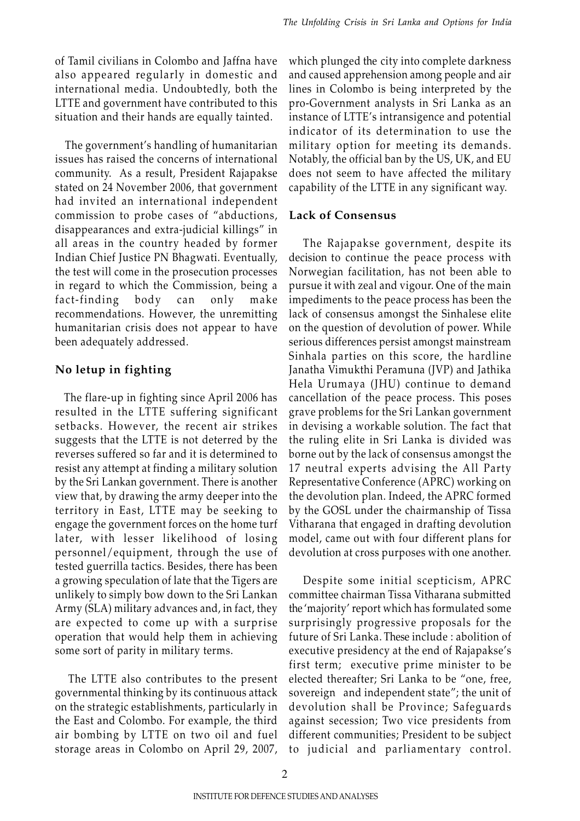of Tamil civilians in Colombo and Jaffna have also appeared regularly in domestic and international media. Undoubtedly, both the LTTE and government have contributed to this situation and their hands are equally tainted.

 The government's handling of humanitarian issues has raised the concerns of international community. As a result, President Rajapakse stated on 24 November 2006, that government had invited an international independent commission to probe cases of "abductions, disappearances and extra-judicial killings" in all areas in the country headed by former Indian Chief Justice PN Bhagwati. Eventually, the test will come in the prosecution processes in regard to which the Commission, being a fact-finding body can only make recommendations. However, the unremitting humanitarian crisis does not appear to have been adequately addressed.

## No letup in fighting

 The flare-up in fighting since April 2006 has resulted in the LTTE suffering significant setbacks. However, the recent air strikes suggests that the LTTE is not deterred by the reverses suffered so far and it is determined to resist any attempt at finding a military solution by the Sri Lankan government. There is another view that, by drawing the army deeper into the territory in East, LTTE may be seeking to engage the government forces on the home turf later, with lesser likelihood of losing personnel/equipment, through the use of tested guerrilla tactics. Besides, there has been a growing speculation of late that the Tigers are unlikely to simply bow down to the Sri Lankan Army (SLA) military advances and, in fact, they are expected to come up with a surprise operation that would help them in achieving some sort of parity in military terms.

 The LTTE also contributes to the present governmental thinking by its continuous attack on the strategic establishments, particularly in the East and Colombo. For example, the third air bombing by LTTE on two oil and fuel storage areas in Colombo on April 29, 2007,

which plunged the city into complete darkness and caused apprehension among people and air lines in Colombo is being interpreted by the pro-Government analysts in Sri Lanka as an instance of LTTE's intransigence and potential indicator of its determination to use the military option for meeting its demands. Notably, the official ban by the US, UK, and EU does not seem to have affected the military capability of the LTTE in any significant way.

#### Lack of Consensus

 The Rajapakse government, despite its decision to continue the peace process with Norwegian facilitation, has not been able to pursue it with zeal and vigour. One of the main impediments to the peace process has been the lack of consensus amongst the Sinhalese elite on the question of devolution of power. While serious differences persist amongst mainstream Sinhala parties on this score, the hardline Janatha Vimukthi Peramuna (JVP) and Jathika Hela Urumaya (JHU) continue to demand cancellation of the peace process. This poses grave problems for the Sri Lankan government in devising a workable solution. The fact that the ruling elite in Sri Lanka is divided was borne out by the lack of consensus amongst the 17 neutral experts advising the All Party Representative Conference (APRC) working on the devolution plan. Indeed, the APRC formed by the GOSL under the chairmanship of Tissa Vitharana that engaged in drafting devolution model, came out with four different plans for devolution at cross purposes with one another.

 Despite some initial scepticism, APRC committee chairman Tissa Vitharana submitted the 'majority' report which has formulated some surprisingly progressive proposals for the future of Sri Lanka. These include : abolition of executive presidency at the end of Rajapakse's first term; executive prime minister to be elected thereafter; Sri Lanka to be "one, free, sovereign and independent state"; the unit of devolution shall be Province; Safeguards against secession; Two vice presidents from different communities; President to be subject to judicial and parliamentary control.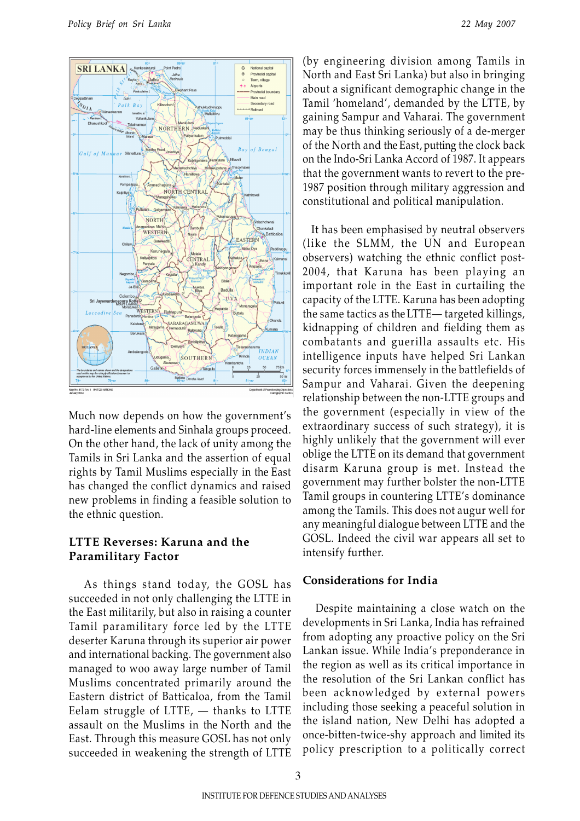

Much now depends on how the government's hard-line elements and Sinhala groups proceed. On the other hand, the lack of unity among the Tamils in Sri Lanka and the assertion of equal rights by Tamil Muslims especially in the East has changed the conflict dynamics and raised new problems in finding a feasible solution to the ethnic question.

## LTTE Reverses: Karuna and the Paramilitary Factor

 As things stand today, the GOSL has succeeded in not only challenging the LTTE in the East militarily, but also in raising a counter Tamil paramilitary force led by the LTTE deserter Karuna through its superior air power and international backing. The government also managed to woo away large number of Tamil Muslims concentrated primarily around the Eastern district of Batticaloa, from the Tamil Eelam struggle of LTTE, — thanks to LTTE assault on the Muslims in the North and the East. Through this measure GOSL has not only succeeded in weakening the strength of LTTE

(by engineering division among Tamils in North and East Sri Lanka) but also in bringing about a significant demographic change in the Tamil 'homeland', demanded by the LTTE, by gaining Sampur and Vaharai. The government may be thus thinking seriously of a de-merger of the North and the East, putting the clock back on the Indo-Sri Lanka Accord of 1987. It appears that the government wants to revert to the pre-1987 position through military aggression and constitutional and political manipulation.

 It has been emphasised by neutral observers (like the SLMM, the UN and European observers) watching the ethnic conflict post-2004, that Karuna has been playing an important role in the East in curtailing the capacity of the LTTE. Karuna has been adopting the same tactics as the LTTE— targeted killings, kidnapping of children and fielding them as combatants and guerilla assaults etc. His intelligence inputs have helped Sri Lankan security forces immensely in the battlefields of Sampur and Vaharai. Given the deepening relationship between the non-LTTE groups and the government (especially in view of the extraordinary success of such strategy), it is highly unlikely that the government will ever oblige the LTTE on its demand that government disarm Karuna group is met. Instead the government may further bolster the non-LTTE Tamil groups in countering LTTE's dominance among the Tamils. This does not augur well for any meaningful dialogue between LTTE and the GOSL. Indeed the civil war appears all set to intensify further.

#### Considerations for India

 Despite maintaining a close watch on the developments in Sri Lanka, India has refrained from adopting any proactive policy on the Sri Lankan issue. While India's preponderance in the region as well as its critical importance in the resolution of the Sri Lankan conflict has been acknowledged by external powers including those seeking a peaceful solution in the island nation, New Delhi has adopted a once-bitten-twice-shy approach and limited its policy prescription to a politically correct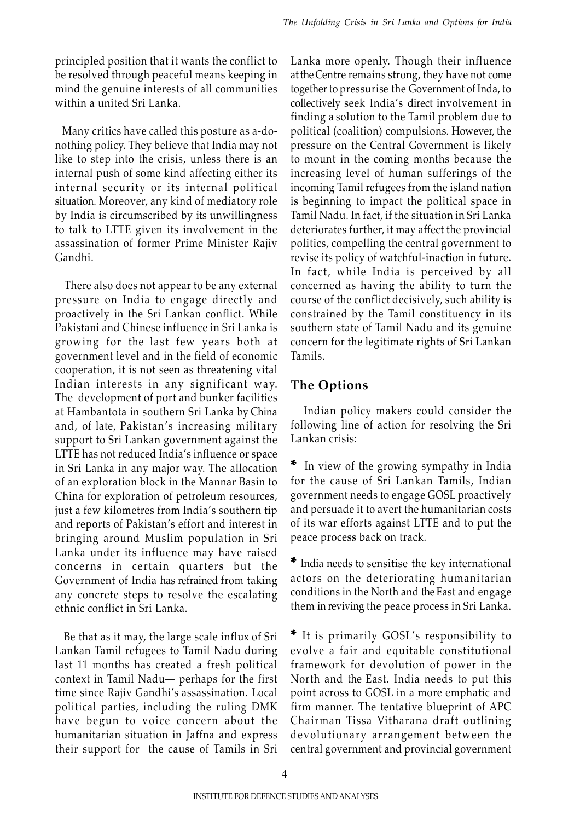principled position that it wants the conflict to be resolved through peaceful means keeping in mind the genuine interests of all communities within a united Sri Lanka.

 Many critics have called this posture as a-donothing policy. They believe that India may not like to step into the crisis, unless there is an internal push of some kind affecting either its internal security or its internal political situation. Moreover, any kind of mediatory role by India is circumscribed by its unwillingness to talk to LTTE given its involvement in the assassination of former Prime Minister Rajiv Gandhi.

 There also does not appear to be any external pressure on India to engage directly and proactively in the Sri Lankan conflict. While Pakistani and Chinese influence in Sri Lanka is growing for the last few years both at government level and in the field of economic cooperation, it is not seen as threatening vital Indian interests in any significant way. The development of port and bunker facilities at Hambantota in southern Sri Lanka by China and, of late, Pakistan's increasing military support to Sri Lankan government against the LTTE has not reduced India's influence or space in Sri Lanka in any major way. The allocation of an exploration block in the Mannar Basin to China for exploration of petroleum resources, just a few kilometres from India's southern tip and reports of Pakistan's effort and interest in bringing around Muslim population in Sri Lanka under its influence may have raised concerns in certain quarters but the Government of India has refrained from taking any concrete steps to resolve the escalating ethnic conflict in Sri Lanka.

 Be that as it may, the large scale influx of Sri Lankan Tamil refugees to Tamil Nadu during last 11 months has created a fresh political context in Tamil Nadu— perhaps for the first time since Rajiv Gandhi's assassination. Local political parties, including the ruling DMK have begun to voice concern about the humanitarian situation in Jaffna and express their support for the cause of Tamils in Sri Lanka more openly. Though their influence at the Centre remains strong, they have not come together to pressurise the Government of Inda, to collectively seek India's direct involvement in finding a solution to the Tamil problem due to political (coalition) compulsions. However, the pressure on the Central Government is likely to mount in the coming months because the increasing level of human sufferings of the incoming Tamil refugees from the island nation is beginning to impact the political space in Tamil Nadu. In fact, if the situation in Sri Lanka deteriorates further, it may affect the provincial politics, compelling the central government to revise its policy of watchful-inaction in future. In fact, while India is perceived by all concerned as having the ability to turn the course of the conflict decisively, such ability is constrained by the Tamil constituency in its southern state of Tamil Nadu and its genuine concern for the legitimate rights of Sri Lankan Tamils.

# The Options

 Indian policy makers could consider the following line of action for resolving the Sri Lankan crisis:

In view of the growing sympathy in India for the cause of Sri Lankan Tamils, Indian government needs to engage GOSL proactively and persuade it to avert the humanitarian costs of its war efforts against LTTE and to put the peace process back on track.

\* India needs to sensitise the key international actors on the deteriorating humanitarian conditions in the North and the East and engage them in reviving the peace process in Sri Lanka.

\* It is primarily GOSL's responsibility to evolve a fair and equitable constitutional framework for devolution of power in the North and the East. India needs to put this point across to GOSL in a more emphatic and firm manner. The tentative blueprint of APC Chairman Tissa Vitharana draft outlining devolutionary arrangement between the central government and provincial government